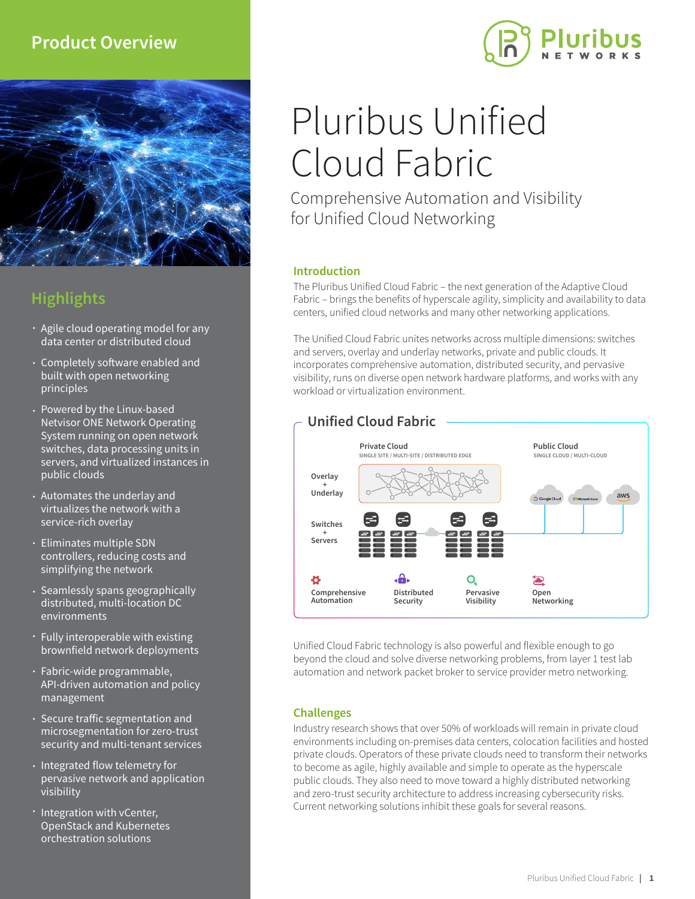## **Product Overview**



# **Highlights**

- Agile cloud operating model for any data center or distributed cloud
- Completely software enabled and built with open networking principles
- Powered by the Linux-based Netvisor ONE Network Operating System running on open network switches, data processing units in servers, and virtualized instances in public clouds
- Automates the underlay and virtualizes the network with a service-rich overlay
- Eliminates multiple SDN controllers, reducing costs and simplifying the network
- Seamlessly spans geographically distributed, multi-location DC environments
- Fully interoperable with existing brownfield network deployments
- Fabric-wide programmable, API-driven automation and policy management
- Secure traffic segmentation and microsegmentation for zero-trust security and multi-tenant services
- $\cdot$  Integrated flow telemetry for pervasive network and application visibility
- **· Integration with vCenter,** OpenStack and Kubernetes orchestration solutions

# Pluribus Unified Cloud Fabric

Comprehensive Automation and Visibility for Unified Cloud Networking

### **Introduction**

The Pluribus Unified Cloud Fabric – the next generation of the Adaptive Cloud Fabric – brings the benefits of hyperscale agility, simplicity and availability to data centers, unified cloud networks and many other networking applications.

The Unified Cloud Fabric unites networks across multiple dimensions: switches and servers, overlay and underlay networks, private and public clouds. It incorporates comprehensive automation, distributed security, and pervasive visibility, runs on diverse open network hardware platforms, and works with any workload or virtualization environment.



Unified Cloud Fabric technology is also powerful and flexible enough to go beyond the cloud and solve diverse networking problems, from layer 1 test lab automation and network packet broker to service provider metro networking.

### **Challenges**

Industry research shows that over 50% of workloads will remain in private cloud environments including on-premises data centers, colocation facilities and hosted private clouds. Operators of these private clouds need to transform their networks to become as agile, highly available and simple to operate as the hyperscale public clouds. They also need to move toward a highly distributed networking and zero-trust security architecture to address increasing cybersecurity risks. Current networking solutions inhibit these goals for several reasons.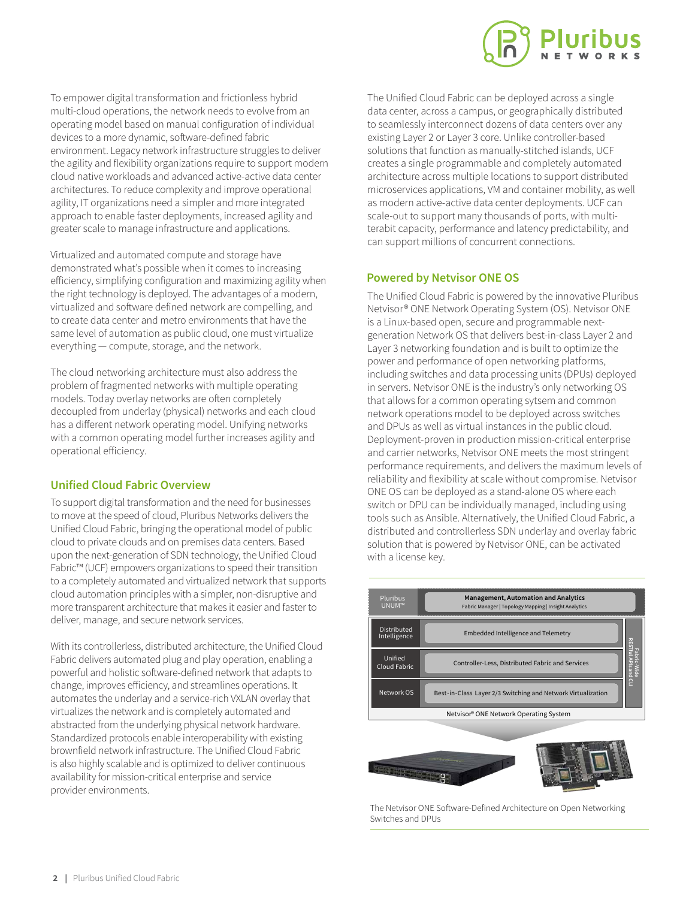

To empower digital transformation and frictionless hybrid multi-cloud operations, the network needs to evolve from an operating model based on manual configuration of individual devices to a more dynamic, software-defined fabric environment. Legacy network infrastructure struggles to deliver the agility and flexibility organizations require to support modern cloud native workloads and advanced active-active data center architectures. To reduce complexity and improve operational agility, IT organizations need a simpler and more integrated approach to enable faster deployments, increased agility and greater scale to manage infrastructure and applications.

Virtualized and automated compute and storage have demonstrated what's possible when it comes to increasing efficiency, simplifying configuration and maximizing agility when the right technology is deployed. The advantages of a modern, virtualized and software defined network are compelling, and to create data center and metro environments that have the same level of automation as public cloud, one must virtualize everything — compute, storage, and the network.

The cloud networking architecture must also address the problem of fragmented networks with multiple operating models. Today overlay networks are often completely decoupled from underlay (physical) networks and each cloud has a different network operating model. Unifying networks with a common operating model further increases agility and operational efficiency.

### **Unified Cloud Fabric Overview**

To support digital transformation and the need for businesses to move at the speed of cloud, Pluribus Networks delivers the Unified Cloud Fabric, bringing the operational model of public cloud to private clouds and on premises data centers. Based upon the next-generation of SDN technology, the Unified Cloud Fabric™ (UCF) empowers organizations to speed their transition to a completely automated and virtualized network that supports cloud automation principles with a simpler, non-disruptive and more transparent architecture that makes it easier and faster to deliver, manage, and secure network services.

With its controllerless, distributed architecture, the Unified Cloud Fabric delivers automated plug and play operation, enabling a powerful and holistic software-defined network that adapts to change, improves efficiency, and streamlines operations. It automates the underlay and a service-rich VXLAN overlay that virtualizes the network and is completely automated and abstracted from the underlying physical network hardware. Standardized protocols enable interoperability with existing brownfield network infrastructure. The Unified Cloud Fabric is also highly scalable and is optimized to deliver continuous availability for mission-critical enterprise and service provider environments.

The Unified Cloud Fabric can be deployed across a single data center, across a campus, or geographically distributed to seamlessly interconnect dozens of data centers over any existing Layer 2 or Layer 3 core. Unlike controller-based solutions that function as manually-stitched islands, UCF creates a single programmable and completely automated architecture across multiple locations to support distributed microservices applications, VM and container mobility, as well as modern active-active data center deployments. UCF can scale-out to support many thousands of ports, with multiterabit capacity, performance and latency predictability, and can support millions of concurrent connections.

### **Powered by Netvisor ONE OS**

The Unified Cloud Fabric is powered by the innovative Pluribus Netvisor® ONE Network Operating System (OS). Netvisor ONE is a Linux-based open, secure and programmable nextgeneration Network OS that delivers best-in-class Layer 2 and Layer 3 networking foundation and is built to optimize the power and performance of open networking platforms, including switches and data processing units (DPUs) deployed in servers. Netvisor ONE is the industry's only networking OS that allows for a common operating sytsem and common network operations model to be deployed across switches and DPUs as well as virtual instances in the public cloud. Deployment-proven in production mission-critical enterprise and carrier networks, Netvisor ONE meets the most stringent performance requirements, and delivers the maximum levels of reliability and flexibility at scale without compromise. Netvisor ONE OS can be deployed as a stand-alone OS where each switch or DPU can be individually managed, including using tools such as Ansible. Alternatively, the Unified Cloud Fabric, a distributed and controllerless SDN underlay and overlay fabric solution that is powered by Netvisor ONE, can be activated with a license key.





The Netvisor ONE Software-Defined Architecture on Open Networking Switches and DPUs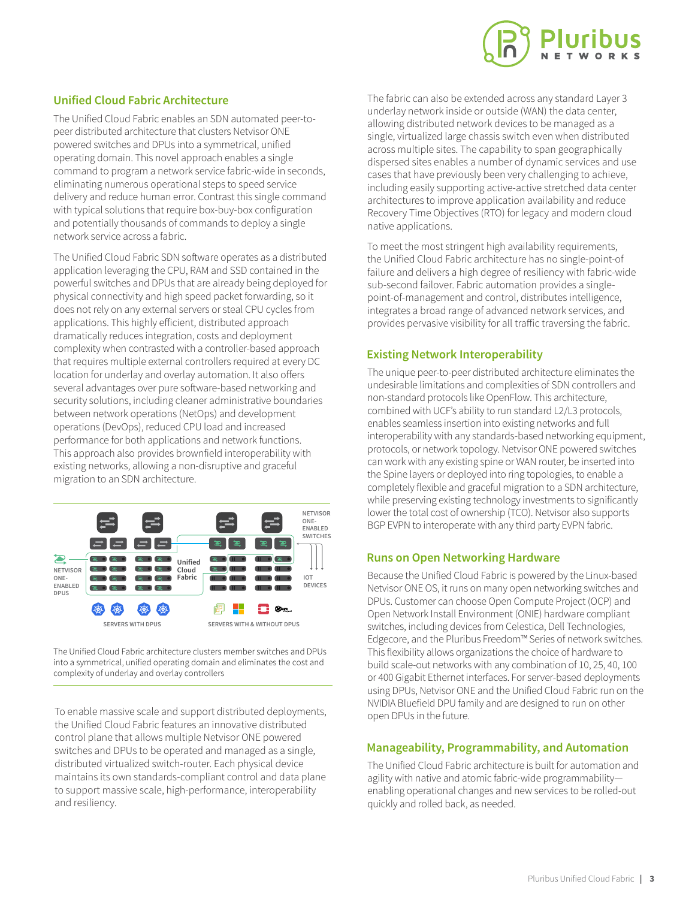### **Unified Cloud Fabric Architecture**

The Unified Cloud Fabric enables an SDN automated peer-topeer distributed architecture that clusters Netvisor ONE powered switches and DPUs into a symmetrical, unified operating domain. This novel approach enables a single command to program a network service fabric-wide in seconds, eliminating numerous operational steps to speed service delivery and reduce human error. Contrast this single command with typical solutions that require box-buy-box configuration and potentially thousands of commands to deploy a single network service across a fabric.

The Unified Cloud Fabric SDN software operates as a distributed application leveraging the CPU, RAM and SSD contained in the powerful switches and DPUs that are already being deployed for physical connectivity and high speed packet forwarding, so it does not rely on any external servers or steal CPU cycles from applications. This highly efficient, distributed approach dramatically reduces integration, costs and deployment complexity when contrasted with a controller-based approach that requires multiple external controllers required at every DC location for underlay and overlay automation. It also offers several advantages over pure software-based networking and security solutions, including cleaner administrative boundaries between network operations (NetOps) and development operations (DevOps), reduced CPU load and increased performance for both applications and network functions. This approach also provides brownfield interoperability with existing networks, allowing a non-disruptive and graceful migration to an SDN architecture.



The Unified Cloud Fabric architecture clusters member switches and DPUs into a symmetrical, unified operating domain and eliminates the cost and complexity of underlay and overlay controllers

To enable massive scale and support distributed deployments, the Unified Cloud Fabric features an innovative distributed control plane that allows multiple Netvisor ONE powered switches and DPUs to be operated and managed as a single, distributed virtualized switch-router. Each physical device maintains its own standards-compliant control and data plane to support massive scale, high-performance, interoperability and resiliency.

The fabric can also be extended across any standard Layer 3 underlay network inside or outside (WAN) the data center, allowing distributed network devices to be managed as a single, virtualized large chassis switch even when distributed across multiple sites. The capability to span geographically dispersed sites enables a number of dynamic services and use cases that have previously been very challenging to achieve, including easily supporting active-active stretched data center architectures to improve application availability and reduce Recovery Time Objectives (RTO) for legacy and modern cloud native applications.

To meet the most stringent high availability requirements, the Unified Cloud Fabric architecture has no single-point-of failure and delivers a high degree of resiliency with fabric-wide sub-second failover. Fabric automation provides a singlepoint-of-management and control, distributes intelligence, integrates a broad range of advanced network services, and provides pervasive visibility for all traffic traversing the fabric.

### **Existing Network Interoperability**

The unique peer-to-peer distributed architecture eliminates the undesirable limitations and complexities of SDN controllers and non-standard protocols like OpenFlow. This architecture, combined with UCF's ability to run standard L2/L3 protocols, enables seamless insertion into existing networks and full interoperability with any standards-based networking equipment, protocols, or network topology. Netvisor ONE powered switches can work with any existing spine or WAN router, be inserted into the Spine layers or deployed into ring topologies, to enable a completely flexible and graceful migration to a SDN architecture, while preserving existing technology investments to significantly lower the total cost of ownership (TCO). Netvisor also supports BGP EVPN to interoperate with any third party EVPN fabric.

### **Runs on Open Networking Hardware**

Because the Unified Cloud Fabric is powered by the Linux-based Netvisor ONE OS, it runs on many open networking switches and DPUs. Customer can choose Open Compute Project (OCP) and Open Network Install Environment (ONIE) hardware compliant switches, including devices from Celestica, Dell Technologies, Edgecore, and the Pluribus Freedom™ Series of network switches. This flexibility allows organizations the choice of hardware to build scale-out networks with any combination of 10, 25, 40, 100 or 400 Gigabit Ethernet interfaces. For server-based deployments using DPUs, Netvisor ONE and the Unified Cloud Fabric run on the NVIDIA Bluefield DPU family and are designed to run on other open DPUs in the future.

### **Manageability, Programmability, and Automation**

The Unified Cloud Fabric architecture is built for automation and agility with native and atomic fabric-wide programmability enabling operational changes and new services to be rolled-out quickly and rolled back, as needed.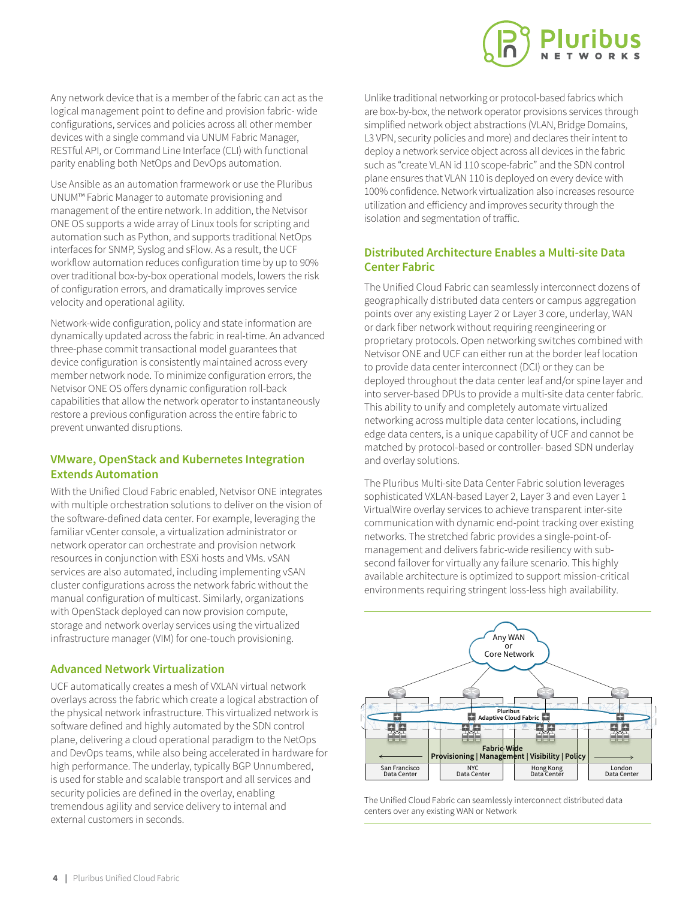Any network device that is a member of the fabric can act as the logical management point to define and provision fabric- wide configurations, services and policies across all other member devices with a single command via UNUM Fabric Manager, RESTful API, or Command Line Interface (CLI) with functional parity enabling both NetOps and DevOps automation.

Use Ansible as an automation frarmework or use the Pluribus UNUM™ Fabric Manager to automate provisioning and management of the entire network. In addition, the Netvisor ONE OS supports a wide array of Linux tools for scripting and automation such as Python, and supports traditional NetOps interfaces for SNMP, Syslog and sFlow. As a result, the UCF workflow automation reduces configuration time by up to 90% over traditional box-by-box operational models, lowers the risk of configuration errors, and dramatically improves service velocity and operational agility.

Network-wide configuration, policy and state information are dynamically updated across the fabric in real-time. An advanced three-phase commit transactional model guarantees that device configuration is consistently maintained across every member network node. To minimize configuration errors, the Netvisor ONE OS offers dynamic configuration roll-back capabilities that allow the network operator to instantaneously restore a previous configuration across the entire fabric to prevent unwanted disruptions.

### **VMware, OpenStack and Kubernetes Integration Extends Automation**

With the Unified Cloud Fabric enabled, Netvisor ONE integrates with multiple orchestration solutions to deliver on the vision of the software-defined data center. For example, leveraging the familiar vCenter console, a virtualization administrator or network operator can orchestrate and provision network resources in conjunction with ESXi hosts and VMs. vSAN services are also automated, including implementing vSAN cluster configurations across the network fabric without the manual configuration of multicast. Similarly, organizations with OpenStack deployed can now provision compute, storage and network overlay services using the virtualized infrastructure manager (VIM) for one-touch provisioning.

### **Advanced Network Virtualization**

UCF automatically creates a mesh of VXLAN virtual network overlays across the fabric which create a logical abstraction of the physical network infrastructure. This virtualized network is software defined and highly automated by the SDN control plane, delivering a cloud operational paradigm to the NetOps and DevOps teams, while also being accelerated in hardware for high performance. The underlay, typically BGP Unnumbered, is used for stable and scalable transport and all services and security policies are defined in the overlay, enabling tremendous agility and service delivery to internal and external customers in seconds.

Unlike traditional networking or protocol-based fabrics which are box-by-box, the network operator provisions services through simplified network object abstractions (VLAN, Bridge Domains, L3 VPN, security policies and more) and declares their intent to deploy a network service object across all devices in the fabric such as "create VLAN id 110 scope-fabric" and the SDN control plane ensures that VLAN 110 is deployed on every device with 100% confidence. Network virtualization also increases resource utilization and efficiency and improves security through the isolation and segmentation of traffic.

### **Distributed Architecture Enables a Multi-site Data Center Fabric**

The Unified Cloud Fabric can seamlessly interconnect dozens of geographically distributed data centers or campus aggregation points over any existing Layer 2 or Layer 3 core, underlay, WAN or dark fiber network without requiring reengineering or proprietary protocols. Open networking switches combined with Netvisor ONE and UCF can either run at the border leaf location to provide data center interconnect (DCI) or they can be deployed throughout the data center leaf and/or spine layer and into server-based DPUs to provide a multi-site data center fabric. This ability to unify and completely automate virtualized networking across multiple data center locations, including edge data centers, is a unique capability of UCF and cannot be matched by protocol-based or controller- based SDN underlay and overlay solutions.

The Pluribus Multi-site Data Center Fabric solution leverages sophisticated VXLAN-based Layer 2, Layer 3 and even Layer 1 VirtualWire overlay services to achieve transparent inter-site communication with dynamic end-point tracking over existing networks. The stretched fabric provides a single-point-ofmanagement and delivers fabric-wide resiliency with subsecond failover for virtually any failure scenario. This highly available architecture is optimized to support mission-critical environments requiring stringent loss-less high availability.



The Unified Cloud Fabric can seamlessly interconnect distributed data centers over any existing WAN or Network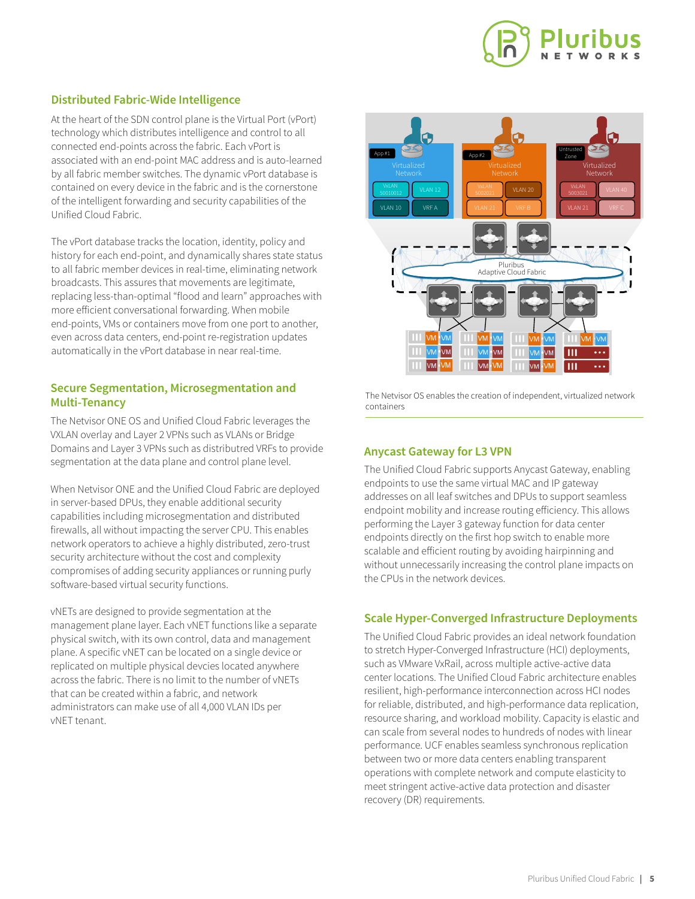

### **Distributed Fabric-Wide Intelligence**

At the heart of the SDN control plane is the Virtual Port (vPort) technology which distributes intelligence and control to all connected end-points across the fabric. Each vPort is associated with an end-point MAC address and is auto-learned by all fabric member switches. The dynamic vPort database is contained on every device in the fabric and is the cornerstone of the intelligent forwarding and security capabilities of the Unified Cloud Fabric.

The vPort database tracks the location, identity, policy and history for each end-point, and dynamically shares state status to all fabric member devices in real-time, eliminating network broadcasts. This assures that movements are legitimate, replacing less-than-optimal "flood and learn" approaches with more efficient conversational forwarding. When mobile end-points, VMs or containers move from one port to another, even across data centers, end-point re-registration updates automatically in the vPort database in near real-time.

### **Secure Segmentation, Microsegmentation and Multi-Tenancy**

The Netvisor ONE OS and Unified Cloud Fabric leverages the VXLAN overlay and Layer 2 VPNs such as VLANs or Bridge Domains and Layer 3 VPNs such as distributred VRFs to provide segmentation at the data plane and control plane level.

When Netvisor ONE and the Unified Cloud Fabric are deployed in server-based DPUs, they enable additional security capabilities including microsegmentation and distributed firewalls, all without impacting the server CPU. This enables network operators to achieve a highly distributed, zero-trust security architecture without the cost and complexity compromises of adding security appliances or running purly software-based virtual security functions.

vNETs are designed to provide segmentation at the management plane layer. Each vNET functions like a separate physical switch, with its own control, data and management plane. A specific vNET can be located on a single device or replicated on multiple physical devcies located anywhere across the fabric. There is no limit to the number of vNETs that can be created within a fabric, and network administrators can make use of all 4,000 VLAN IDs per vNET tenant.



The Netvisor OS enables the creation of independent, virtualized network containers

### **Anycast Gateway for L3 VPN**

The Unified Cloud Fabric supports Anycast Gateway, enabling endpoints to use the same virtual MAC and IP gateway addresses on all leaf switches and DPUs to support seamless endpoint mobility and increase routing efficiency. This allows performing the Layer 3 gateway function for data center endpoints directly on the first hop switch to enable more scalable and efficient routing by avoiding hairpinning and without unnecessarily increasing the control plane impacts on the CPUs in the network devices.

### **Scale Hyper-Converged Infrastructure Deployments**

The Unified Cloud Fabric provides an ideal network foundation to stretch Hyper-Converged Infrastructure (HCI) deployments, such as VMware VxRail, across multiple active-active data center locations. The Unified Cloud Fabric architecture enables resilient, high-performance interconnection across HCI nodes for reliable, distributed, and high-performance data replication, resource sharing, and workload mobility. Capacity is elastic and can scale from several nodes to hundreds of nodes with linear performance. UCF enables seamless synchronous replication between two or more data centers enabling transparent operations with complete network and compute elasticity to meet stringent active-active data protection and disaster recovery (DR) requirements.